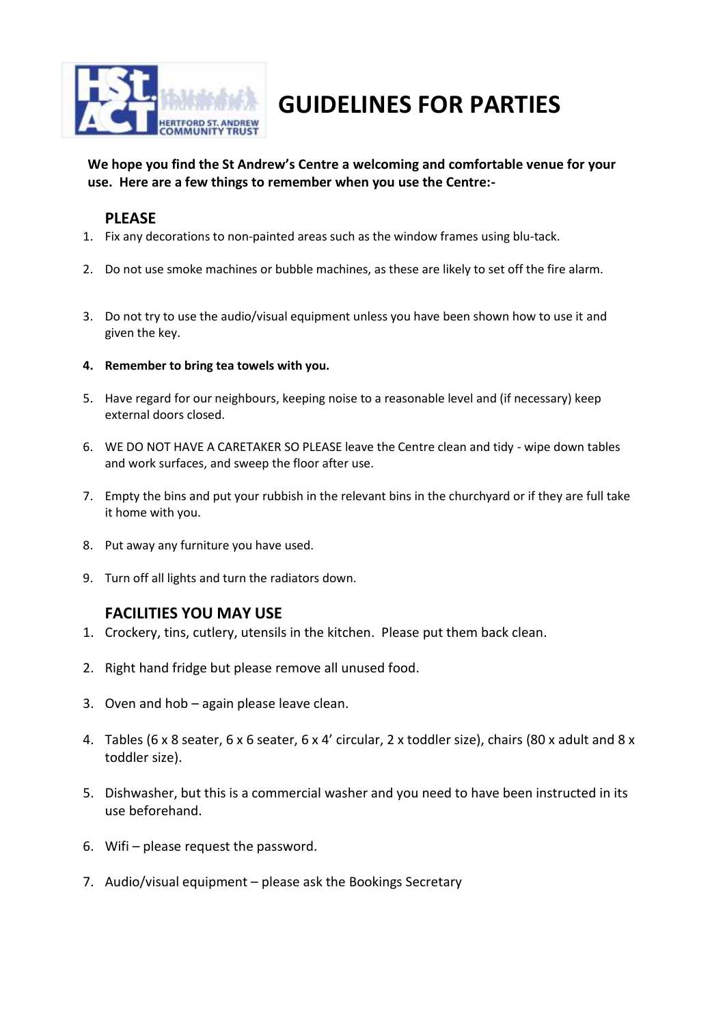

## **GUIDELINES FOR PARTIES**

**We hope you find the St Andrew's Centre a welcoming and comfortable venue for your use. Here are a few things to remember when you use the Centre:-**

## **PLEASE**

- 1. Fix any decorations to non-painted areas such as the window frames using blu-tack.
- 2. Do not use smoke machines or bubble machines, as these are likely to set off the fire alarm.
- 3. Do not try to use the audio/visual equipment unless you have been shown how to use it and given the key.
- **4. Remember to bring tea towels with you.**
- 5. Have regard for our neighbours, keeping noise to a reasonable level and (if necessary) keep external doors closed.
- 6. WE DO NOT HAVE A CARETAKER SO PLEASE leave the Centre clean and tidy wipe down tables and work surfaces, and sweep the floor after use.
- 7. Empty the bins and put your rubbish in the relevant bins in the churchyard or if they are full take it home with you.
- 8. Put away any furniture you have used.
- 9. Turn off all lights and turn the radiators down.

## **FACILITIES YOU MAY USE**

- 1. Crockery, tins, cutlery, utensils in the kitchen. Please put them back clean.
- 2. Right hand fridge but please remove all unused food.
- 3. Oven and hob again please leave clean.
- 4. Tables (6 x 8 seater, 6 x 6 seater, 6 x 4' circular, 2 x toddler size), chairs (80 x adult and 8 x toddler size).
- 5. Dishwasher, but this is a commercial washer and you need to have been instructed in its use beforehand.
- 6. Wifi please request the password.
- 7. Audio/visual equipment please ask the Bookings Secretary